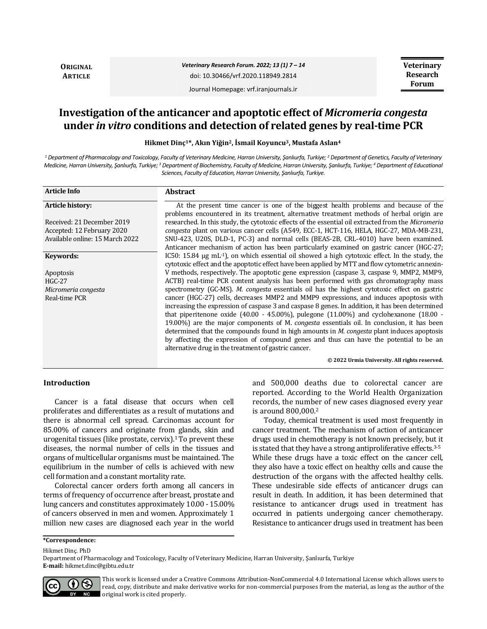**ORIGINAL ARTICLE**

*Veterinary Research Forum. 2022; 13 (1) 7 – 14* doi: 10.30466/vrf.2020.118949.2814 Journal Homepage: vrf.iranjournals.ir

**Veterinary Research Forum**

# **Investigation of the anticancer and apoptotic effect of** *Micromeria congesta* **under** *in vitro* **conditions and detection of related genes by real-time PCR**

**Hikmet Dinç1\*, Akın Yiğin2, İsmail Koyuncu3, Mustafa Aslan<sup>4</sup>**

*<sup>1</sup> Department of Pharmacology and Toxicology, Faculty of Veterinary Medicine, Harran University, Şanlıurfa, Turkiye; <sup>2</sup> Department of Genetics, Faculty of Veterinary Medicine, Harran University, Şanlıurfa, Turkiye; <sup>3</sup> Department of Biochemistry, Faculty of Medicine, Harran University, Şanlıurfa, Turkiye; <sup>4</sup> Department of Educational Sciences, Faculty of Education, Harran University, Şanlıurfa, Turkiye.* 

| <b>Article Info</b>             | <b>Abstract</b>                                                                                                                                                                                                     |
|---------------------------------|---------------------------------------------------------------------------------------------------------------------------------------------------------------------------------------------------------------------|
| Article history:                | At the present time cancer is one of the biggest health problems and because of the<br>problems encountered in its treatment, alternative treatment methods of herbal origin are                                    |
| Received: 21 December 2019      | researched. In this study, the cytotoxic effects of the essential oil extracted from the Micromeria                                                                                                                 |
| Accepted: 12 February 2020      | congesta plant on various cancer cells (A549, ECC-1, HCT-116, HELA, HGC-27, MDA-MB-231,                                                                                                                             |
| Available online: 15 March 2022 | SNU-423, U20S, DLD-1, PC-3) and normal cells (BEAS-2B, CRL-4010) have been examined.                                                                                                                                |
|                                 | Anticancer mechanism of action has been particularly examined on gastric cancer (HGC-27;                                                                                                                            |
| Keywords:                       | IC50: 15.84 $\mu$ g mL <sup>-1</sup> ), on which essential oil showed a high cytotoxic effect. In the study, the<br>cytotoxic effect and the apoptotic effect have been applied by MTT and flow cytometric annexin- |
| Apoptosis                       | V methods, respectively. The apoptotic gene expression (caspase 3, caspase 9, MMP2, MMP9,                                                                                                                           |
| $HGC-27$                        | ACTB) real-time PCR content analysis has been performed with gas chromatography mass                                                                                                                                |
| Micromeria congesta             | spectrometry (GC-MS). M. congesta essentials oil has the highest cytotoxic effect on gastric                                                                                                                        |
| Real-time PCR                   | cancer (HGC-27) cells, decreases MMP2 and MMP9 expressions, and induces apoptosis with                                                                                                                              |
|                                 | increasing the expression of caspase 3 and caspase 8 genes. In addition, it has been determined                                                                                                                     |
|                                 | that piperitenone oxide $(40.00 - 45.00\%)$ , pulegone $(11.00\%)$ and cyclohexanone $(18.00 -$                                                                                                                     |
|                                 | 19.00%) are the major components of M. <i>congesta</i> essentials oil. In conclusion, it has been                                                                                                                   |
|                                 | determined that the compounds found in high amounts in <i>M. congesta</i> plant induces apoptosis                                                                                                                   |
|                                 | by affecting the expression of compound genes and thus can have the potential to be an                                                                                                                              |
|                                 | alternative drug in the treatment of gastric cancer.                                                                                                                                                                |
|                                 | © 2022 Urmia University. All rights reserved.                                                                                                                                                                       |

#### **Introduction**

Cancer is a fatal disease that occurs when cell proliferates and differentiates as a result of mutations and there is abnormal cell spread. Carcinomas account for 85.00% of cancers and originate from glands, skin and urogenital tissues (like prostate, cervix). $1$  To prevent these diseases, the normal number of cells in the tissues and organs of multicellular organisms must be maintained. The equilibrium in the number of cells is achieved with new cell formation and a constant mortality rate.

Colorectal cancer orders forth among all cancers in terms of frequency of occurrence after breast, prostate and lung cancers and constitutes approximately 10.00 -15.00% of cancers observed in men and women. Approximately 1 million new cases are diagnosed each year in the world and 500,000 deaths due to colorectal cancer are reported. According to the World Health Organization records, the number of new cases diagnosed every year is around 800,000.<sup>2</sup>

Today, chemical treatment is used most frequently in cancer treatment. The mechanism of action of anticancer drugs used in chemotherapy is not known precisely, but it is stated that they have a strong antiproliferative effects.<sup>3-5</sup> While these drugs have a toxic effect on the cancer cell, they also have a toxic effect on healthy cells and cause the destruction of the organs with the affected healthy cells. These undesirable side effects of anticancer drugs can result in death. In addition, it has been determined that resistance to anticancer drugs used in treatment has occurred in patients undergoing cancer chemotherapy. Resistance to anticancer drugs used in treatment has been

Hikmet Dinç. PhD

Department of Pharmacology and Toxicology, Faculty of Veterinary Medicine, Harran University, Şanlıurfa, Turkiye **E-mail:** hikmet.dinc@gibtu.edu.tr



This work is licensed under a [Creative Commons Attribution-NonCommercial 4.0 International License](http://creativecommons.org/licenses/by-nc/4.0/) which allows users to read, copy, distribute and make derivative works for non-commercial purposes from the material, as long as the author of the original work is cited properly.

**<sup>\*</sup>Correspondence:**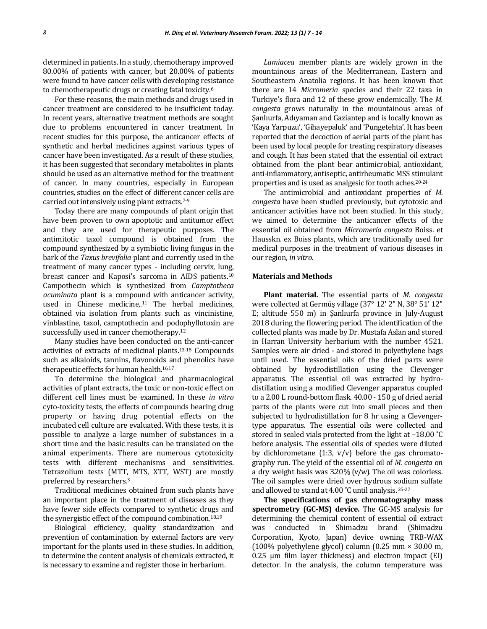determined in patients. In a study, chemotherapy improved 80.00% of patients with cancer, but 20.00% of patients were found to have cancer cells with developing resistance to chemotherapeutic drugs or creating fatal toxicity.<sup>6</sup>

For these reasons, the main methods and drugs used in cancer treatment are considered to be insufficient today. In recent years, alternative treatment methods are sought due to problems encountered in cancer treatment. In recent studies for this purpose, the anticancer effects of synthetic and herbal medicines against various types of cancer have been investigated. As a result of these studies, it has been suggested that secondary metabolites in plants should be used as an alternative method for the treatment of cancer. In many countries, especially in European countries, studies on the effect of different cancer cells are carried out intensively using plant extracts.7-9

Today there are many compounds of plant origin that have been proven to own apoptotic and antitumor effect and they are used for therapeutic purposes. The antimitotic taxol compound is obtained from the compound synthesized by a symbiotic living fungus in the bark of the *Taxus brevifolia* plant and currently used in the treatment of many cancer types - including cervix, lung, breast cancer and Kaposi's sarcoma in AIDS patients.<sup>10</sup> Campothecin which is synthesized from *Camptotheca acuminata* plant is a compound with anticancer activity, used in Chinese medicine, $11$  The herbal medicines, obtained via isolation from plants such as vincinistine, vinblastine, taxol, camptothecin and podophyllotoxin are successfully used in cancer chemotherapy.<sup>12</sup>

Many studies have been conducted on the anti-cancer activities of extracts of medicinal plants.13-15 Compounds such as alkaloids, tannins, flavonoids and phenolics have therapeutic effects for human health.<sup>16,17</sup>

To determine the biological and pharmacological activities of plant extracts, the toxic or non-toxic effect on different cell lines must be examined. In these *in vitro* cyto-toxicity tests, the effects of compounds bearing drug property or having drug potential effects on the incubated cell culture are evaluated. With these tests, it is possible to analyze a large number of substances in a short time and the basic results can be translated on the animal experiments. There are numerous cytotoxicity tests with different mechanisms and sensitivities. Tetrazolium tests (MTT, MTS, XTT, WST) are mostly preferred by researchers.<sup>3</sup>

Traditional medicines obtained from such plants have an important place in the treatment of diseases as they have fewer side effects compared to synthetic drugs and the synergistic effect of the compound combination.18,19

Biological efficiency, quality standardization and prevention of contamination by external factors are very important for the plants used in these studies. In addition, to determine the content analysis of chemicals extracted, it is necessary to examine and register those in herbarium.

*Lamiacea* member plants are widely grown in the mountainous areas of the Mediterranean, Eastern and Southeastern Anatolia regions. It has been known that there are 14 *Micromeria* species and their 22 taxa in Turkiye's flora and 12 of these grow endemically. The *M. congesta* grows naturally in the mountainous areas of Şanlıurfa, Adıyaman and Gaziantep and is locally known as 'Kaya Yarpuzu', 'Gihayepaluk' and 'Pungetehta'. It has been reported that the decoction of aerial parts of the plant has been used by local people for treating respiratory diseases and cough. It has been stated that the essential oil extract obtained from the plant bear antimicrobial, antioxidant, anti-inflammatory, antiseptic, antirheumatic MSS stimulant properties and is used as analgesic for tooth aches.20-24

The antimicrobial and antioxidant properties of *M. congesta* have been studied previously, but cytotoxic and anticancer activities have not been studied. In this study, we aimed to determine the anticancer effects of the essential oil obtained from *Micromeria congesta* Boiss. et Hausskn. ex Boiss plants, which are traditionally used for medical purposes in the treatment of various diseases in our region, *in vitro.*

#### **Materials and Methods**

**Plant material.** The essential parts of *M. congesta*  were collected at Germüş village (37° 12' 2" N, 38° 51' 12" E; altitude 550 m) in Şanlıurfa province in July-August 2018 during the flowering period. The identification of the collected plants was made by Dr. Mustafa Aslan and stored in Harran University herbarium with the number 4521. Samples were air dried - and stored in polyethylene bags until used. The essential oils of the dried parts were obtained by hydrodistillation using the Clevenger apparatus. The essential oil was extracted by hydrodistillation using a modified Clevenger apparatus coupled to a 2.00 L round-bottom flask. 40.00 - 150 g of dried aerial parts of the plants were cut into small pieces and then subjected to hydrodistillation for 8 hr using a Clevengertype apparatus. The essential oils were collected and stored in sealed vials protected from the light at –18.00 ˚C before analysis. The essential oils of species were diluted by dichlorometane (1:3,  $v/v$ ) before the gas chromatography run. The yield of the essential oil of *M. congesta* on a dry weight basis was 3.20% (v/w). The oil was colorless. The oil samples were dried over hydrous sodium sulfate and allowed to stand at 4.00 ˚C until analysis. 25-27

**The specifications of gas chromatography mass spectrometry (GC-MS) device.** The GC-MS analysis for determining the chemical content of essential oil extract was conducted in Shimadzu brand (Shimadzu Corporation, Kyoto, Japan) device owning TRB-WAX (100% polyethylene glycol) column (0.25 mm × 30.00 m, 0.25 μm film layer thickness) and electron impact (EI) detector. In the analysis, the column temperature was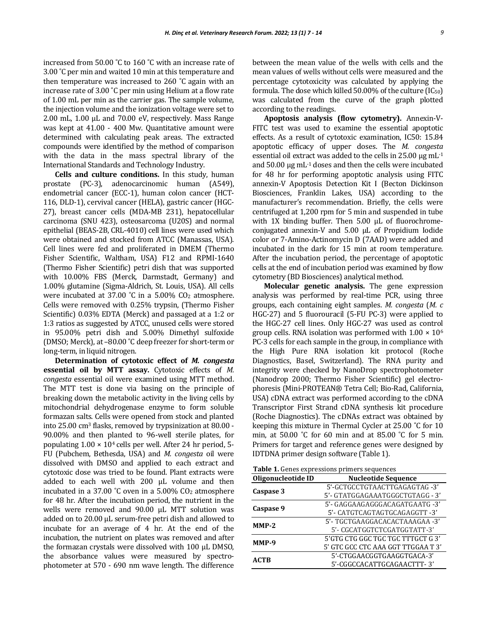increased from 50.00 ˚C to 160 ˚C with an increase rate of 3.00 ˚C per min and waited 10 min at this temperature and then temperature was increased to 260 ˚C again with an increase rate of 3.00 ˚C per min using Helium at a flow rate of 1.00 mL per min as the carrier gas. The sample volume, the injection volume and the ionization voltage were set to 2.00 mL, 1.00 μL and 70.00 eV, respectively. Mass Range was kept at 41.00 - 400 Mw. Quantitative amount were determined with calculating peak areas. The extracted compounds were identified by the method of comparison with the data in the mass spectral library of the International Standards and Technology Industry.

**Cells and culture conditions.** In this study, human prostate (PC-3), adenocarcinomic human (A549), endometrial cancer (ECC-1), human colon cancer (HCT-116, DLD-1), cervival cancer (HELA), gastric cancer (HGC-27), breast cancer cells (MDA-MB 231), hepatocellular carcinoma (SNU 423), osteosarcoma (U20S) and normal epithelial (BEAS-2B, CRL-4010) cell lines were used which were obtained and stocked from ATCC (Manassas, USA). Cell lines were fed and proliferated in DMEM (Thermo Fisher Scientific, Waltham, USA) F12 and RPMI-1640 (Thermo Fisher Scientific) petri dish that was supported with 10.00% FBS (Merck, Darmstadt, Germany) and 1.00% glutamine (Sigma-Aldrich, St. Louis, USA). All cells were incubated at 37.00  $^{\circ}$ C in a 5.00% CO<sub>2</sub> atmosphere. Cells were removed with 0.25% trypsin, (Thermo Fisher Scientific) 0.03% EDTA (Merck) and passaged at a 1:2 or 1:3 ratios as suggested by ATCC, unused cells were stored in 95.00% petri dish and 5.00% Dimethyl sulfoxide (DMSO; Merck), at –80.00 ˚C deep freezer for short-term or long-term, in liquid nitrogen.

**Determination of cytotoxic effect of** *M. congesta* **essential oil by MTT assay.** Cytotoxic effects of *M. congesta* essential oil were examined using MTT method. The MTT test is done via basing on the principle of breaking down the metabolic activity in the living cells by mitochondrial dehydrogenase enzyme to form soluble formazan salts. Cells were opened from stock and planted into 25.00 cm<sup>3</sup> flasks, removed by trypsinization at 80.00 - 90.00% and then planted to 96-well sterile plates, for populating  $1.00 \times 10^4$  cells per well. After 24 hr period, 5-FU (Pubchem, Bethesda, USA) and *M. congesta* oil were dissolved with DMSO and applied to each extract and cytotoxic dose was tried to be found. Plant extracts were added to each well with 200 μL volume and then incubated in a 37.00 ˚C oven in a 5.00% CO<sup>2</sup> atmosphere for 48 hr. After the incubation period, the nutrient in the wells were removed and 90.00 μL MTT solution was added on to 20.00 μL serum-free petri dish and allowed to incubate for an average of 4 hr. At the end of the incubation, the nutrient on plates was removed and after the formazan crystals were dissolved with 100 μL DMSO, the absorbance values were measured by spectrophotometer at 570 - 690 nm wave length. The difference between the mean value of the wells with cells and the mean values of wells without cells were measured and the percentage cytotoxicity was calculated by applying the formula. The dose which killed 50.00% of the culture (IC50) was calculated from the curve of the graph plotted according to the readings.

**Apoptosis analysis (flow cytometry).** Annexin-V-FITC test was used to examine the essential apoptotic effects. As a result of cytotoxic examination, IC50: 15.84 apoptotic efficacy of upper doses. The *M. congesta* essential oil extract was added to the cells in 25.00 μg mL-1 and 50.00 μg mL-1 doses and then the cells were incubated for 48 hr for performing apoptotic analysis using FITC annexin-V Apoptosis Detection Kit I (Becton Dickinson Biosciences, Franklin Lakes, USA) according to the manufacturer's recommendation. Briefly, the cells were centrifuged at 1,200 rpm for 5 min and suspended in tube with 1X binding buffer. Then 5.00 μL of fluorochromeconjugated annexin-V and 5.00 µL of Propidium Iodide color or 7-Amino-Actinomycin D (7AAD) were added and incubated in the dark for 15 min at room temperature. After the incubation period, the percentage of apoptotic cells at the end of incubation period was examined by flow cytometry (BD Biosciences) analytical method.

**Molecular genetic analysis.** The gene expression analysis was performed by real-time PCR, using three groups, each containing eight samples. *M. congesta* (*M. c* HGC-27) and 5 fluorouracil (5-FU PC-3) were applied to the HGC-27 cell lines. Only HGC-27 was used as control group cells. RNA isolation was performed with  $1.00 \times 10^6$ PC-3 cells for each sample in the group, in compliance with the High Pure RNA isolation kit protocol (Roche Diagnostics, Basel, Switzerland). The RNA purity and integrity were checked by NanoDrop spectrophotometer (Nanodrop 2000; Thermo Fisher Scientific) gel electrophoresis (Mini-PROTEAN® Tetra Cell; Bio-Rad, California, USA) cDNA extract was performed according to the cDNA Transcriptor First Strand cDNA synthesis kit procedure (Roche Diagnostics). The cDNAs extract was obtained by keeping this mixture in Thermal Cycler at 25.00 ˚C for 10 min, at 50.00 ˚C for 60 min and at 85.00 ˚C for 5 min. Primers for target and reference genes were designed by IDTDNA primer design software (Table 1).

**Table 1.** Genes expressions primers sequences

| <b>TWOTE 11</b> Genes expressions primers sequences |                                    |  |  |  |
|-----------------------------------------------------|------------------------------------|--|--|--|
| Oligonucleotide ID                                  | <b>Nucleotide Sequence</b>         |  |  |  |
|                                                     | 5'-GCTGCCTGTAACTTGAGAGTAG-3'       |  |  |  |
| Caspase 3                                           | 5'- GTATGGAGAAATGGGCTGTAGG - 3'    |  |  |  |
| Caspase 9                                           | 5'- GAGGAAGAGGGACAGATGAATG -3'     |  |  |  |
|                                                     | 5'- CATGTCAGTAGTGCAGAGGTT -3'      |  |  |  |
| $MMP-2$                                             | 5'- TGCTGAAGGACACACTAAAGAA -3'     |  |  |  |
|                                                     | 5'- CGCATGGTCTCGATGGTATT-3'        |  |  |  |
| MMP-9                                               | 5'GTG CTG GGC TGC TGC TTTGCT G 3'  |  |  |  |
|                                                     | 5' GTC GCC CTC AAA GGT TTGGAA T 3' |  |  |  |
| ACTB                                                | 5'-CTGGAACGGTGAAGGTGACA-3'         |  |  |  |
|                                                     | 5'-CGGCCACATTGCAGAACTTT-3'         |  |  |  |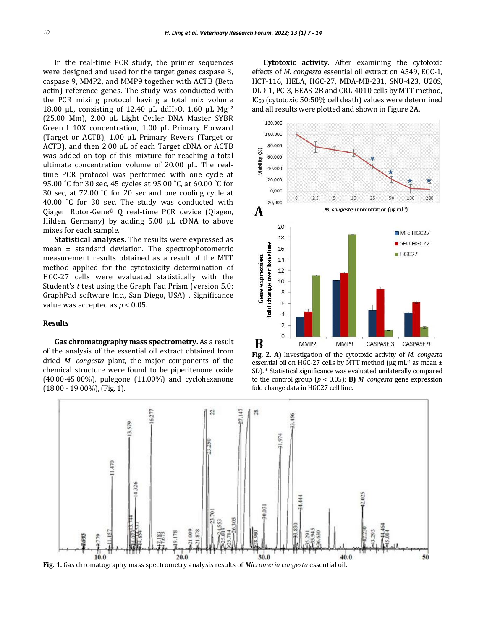In the real-time PCR study, the primer sequences were designed and used for the target genes caspase 3, caspase 9, MMP2, and MMP9 together with ACTB (Beta actin) reference genes. The study was conducted with the PCR mixing protocol having a total mix volume 18.00 µL, consisting of 12.40 µL ddH<sub>2</sub>O, 1.60 µL Mg<sup>+2</sup> (25.00 Mm), 2.00 µL Light Cycler DNA Master SYBR Green I 10X concentration, 1.00 µL Primary Forward (Target or ACTB), 1.00 µL Primary Revers (Target or ACTB), and then 2.00 µL of each Target cDNA or ACTB was added on top of this mixture for reaching a total ultimate concentration volume of 20.00 µL. The realtime PCR protocol was performed with one cycle at 95.00 ˚C for 30 sec, 45 cycles at 95.00 ˚C, at 60.00 ˚C for 30 sec, at 72.00 ˚C for 20 sec and one cooling cycle at 40.00 ˚C for 30 sec. The study was conducted with Qiagen Rotor-Gene® Q real-time PCR device (Qiagen, Hilden, Germany) by adding 5.00 µL cDNA to above mixes for each sample.

**Statistical analyses.** The results were expressed as mean ± standard deviation. The spectrophotometric measurement results obtained as a result of the MTT method applied for the cytotoxicity determination of HGC-27 cells were evaluated statistically with the Student's *t* test using the Graph Pad Prism (version 5.0; GraphPad software Inc., San Diego, USA) . Significance value was accepted as *p* < 0.05.

# **Results**

**Gas chromatography mass spectrometry.** As a result of the analysis of the essential oil extract obtained from dried *M. congesta* plant, the major components of the chemical structure were found to be piperitenone oxide (40.00-45.00%), pulegone (11.00%) and cyclohexanone (18.00 - 19.00%), (Fig. 1).

**Cytotoxic activity.** After examining the cytotoxic effects of *M. congesta* essential oil extract on A549, ECC-1, HCT-116, HELA, HGC-27, MDA-MB-231, SNU-423, U20S, DLD-1, PC-3, BEAS-2B and CRL-4010 cells by MTT method, IC<sup>50</sup> (cytotoxic 50:50% cell death) values were determined and all results were plotted and shown in Figure 2A.



**Fig. 2. A)** Investigation of the cytotoxic activity of *M. congesta* essential oil on HGC-27 cells by MTT method ( $\mu$ g mL $^{-1}$  as mean  $\pm$ SD). \* Statistical significance was evaluated unilaterally compared to the control group (*p* < 0.05); **B)** *M. congesta* gene expression fold change data in HGC27 cell line.

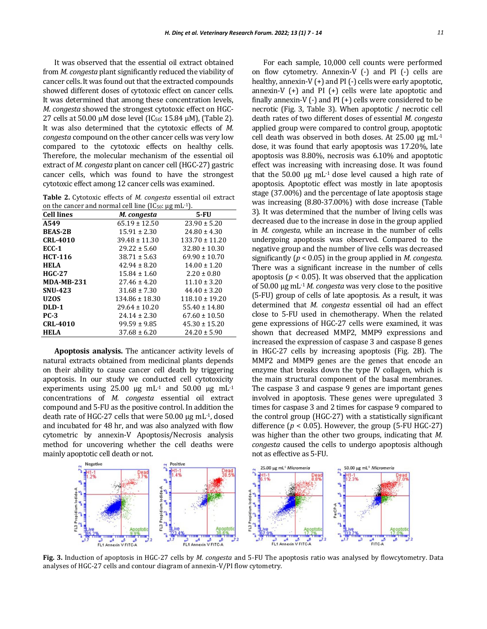It was observed that the essential oil extract obtained from *M. congesta* plant significantly reduced the viability of cancer cells. It was found out that the extracted compounds showed different doses of cytotoxic effect on cancer cells. It was determined that among these concentration levels, *M. congesta* showed the strongest cytotoxic effect on HGC-27 cells at 50.00  $\mu$ M dose level (IC<sub>50</sub>: 15.84  $\mu$ M), (Table 2). It was also determined that the cytotoxic effects of *M. congesta* compound on the other cancer cells was very low compared to the cytotoxic effects on healthy cells. Therefore, the molecular mechanism of the essential oil extract of *M. congesta* plant on cancer cell (HGC-27) gastric cancer cells, which was found to have the strongest cytotoxic effect among 12 cancer cells was examined.

**Table 2.** Cytotoxic effects of *M. congesta* essential oil extract on the cancer and normal cell line  $(IC_{50}: \mu g \text{ mL}^{-1})$ .

| <b>Cell lines</b> | M. congesta        | 5-FU               |  |
|-------------------|--------------------|--------------------|--|
| A549              | $65.19 \pm 12.50$  | $23.90 \pm 5.20$   |  |
| <b>BEAS-2B</b>    | $15.91 \pm 2.30$   | $24.80 \pm 4.30$   |  |
| <b>CRL-4010</b>   | $39.48 \pm 11.30$  | $133.70 \pm 11.20$ |  |
| $ECC-1$           | $29.22 \pm 5.60$   | $32.80 \pm 10.30$  |  |
| <b>HCT-116</b>    | $38.71 \pm 5.63$   | $69.90 \pm 10.70$  |  |
| <b>HELA</b>       | $42.94 \pm 8.20$   | $14.00 \pm 1.20$   |  |
| <b>HGC-27</b>     | $15.84 \pm 1.60$   | $2.20 \pm 0.80$    |  |
| <b>MDA-MB-231</b> | $27.46 \pm 4.20$   | $11.10 \pm 3.20$   |  |
| <b>SNU-423</b>    | $31.68 \pm 7.30$   | $44.40 \pm 3.20$   |  |
| <b>U20S</b>       | $134.86 \pm 18.30$ | $118.10 \pm 19.20$ |  |
| DLD-1             | $29.64 \pm 10.20$  | $55.40 \pm 14.80$  |  |
| $PC-3$            | $24.14 \pm 2.30$   | $67.60 \pm 10.50$  |  |
| <b>CRL-4010</b>   | $99.59 \pm 9.85$   | $45.30 \pm 15.20$  |  |
| <b>HELA</b>       | $37.68 \pm 6.20$   | $24.20 \pm 5.90$   |  |

**Apoptosis analysis.** The anticancer activity levels of natural extracts obtained from medicinal plants depends on their ability to cause cancer cell death by triggering apoptosis. In our study we conducted cell cytotoxicity experiments using 25.00  $\mu$ g mL<sup>-1</sup> and 50.00  $\mu$ g mL<sup>-1</sup> concentrations of *M. congesta* essential oil extract compound and 5-FU as the positive control. In addition the death rate of HGC-27 cells that were 50.00 μg mL-1, dosed and incubated for 48 hr, and was also analyzed with flow cytometric by annexin-V Apoptosis/Necrosis analysis method for uncovering whether the cell deaths were mainly apoptotic cell death or not.

For each sample, 10,000 cell counts were performed on flow cytometry. Annexin-V (-) and PI (-) cells are healthy, annexin-V (+) and PI (-) cells were early apoptotic, annexin-V $(+)$  and PI $(+)$  cells were late apoptotic and finally annexin- $V$  (-) and PI (+) cells were considered to be necrotic (Fig. 3, Table 3). When apoptotic / necrotic cell death rates of two different doses of essential *M. congesta* applied group were compared to control group, apoptotic cell death was observed in both doses. At  $25.00 \mu g \text{ mL}^{-1}$ dose, it was found that early apoptosis was 17.20%, late apoptosis was 8.80%, necrosis was 6.10% and apoptotic effect was increasing with increasing dose. It was found that the  $50.00 \mu g$  mL<sup>-1</sup> dose level caused a high rate of apoptosis. Apoptotic effect was mostly in late apoptosis stage (37.00%) and the percentage of late apoptosis stage was increasing (8.80-37.00%) with dose increase (Table 3). It was determined that the number of living cells was decreased due to the increase in dose in the group applied in *M. congesta*, while an increase in the number of cells undergoing apoptosis was observed. Compared to the negative group and the number of live cells was decreased significantly (*p* < 0.05) in the group applied in *M. congesta.*  There was a significant increase in the number of cells apoptosis ( $p < 0.05$ ). It was observed that the application of 50.00 µg mL-1*M. congesta* was very close to the positive (5-FU) group of cells of late apoptosis. As a result, it was determined that *M. congesta* essential oil had an effect close to 5-FU used in chemotherapy. When the related gene expressions of HGC-27 cells were examined, it was shown that decreased MMP2, MMP9 expressions and increased the expression of caspase 3 and caspase 8 genes in HGC-27 cells by increasing apoptosis (Fig. 2B). The MMP2 and MMP9 genes are the genes that encode an enzyme that breaks down the type IV collagen, which is the main structural component of the basal membranes. The caspase 3 and caspase 9 genes are important genes involved in apoptosis. These genes were upregulated 3 times for caspase 3 and 2 times for caspase 9 compared to the control group (HGC-27) with a statistically significant difference ( $p < 0.05$ ). However, the group (5-FU HGC-27) was higher than the other two groups, indicating that *M. congesta* caused the cells to undergo apoptosis although not as effective as 5-FU.



**Fig. 3.** Induction of apoptosis in HGC-27 cells by *M. congesta* and 5-FU The apoptosis ratio was analysed by flowcytometry. Data analyses of HGC-27 cells and contour diagram of annexin-V/PI flow cytometry.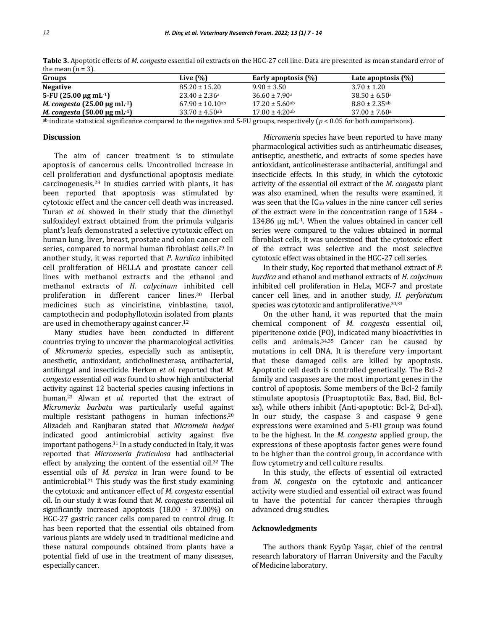| Groups                                                 | Live $(\%)$                     | Early apoptosis (%)            | Late apoptosis (%)            |
|--------------------------------------------------------|---------------------------------|--------------------------------|-------------------------------|
| <b>Negative</b>                                        | $85.20 \pm 15.20$               | $9.90 \pm 3.50$                | $3.70 \pm 1.20$               |
| 5-FU $(25.00 \,\mu g \,\text{mL-1})$                   | $23.40 \pm 2.36$ <sup>a</sup>   | $36.60 \pm 7.90$ a             | $38.50 \pm 6.50$ <sup>a</sup> |
| M. congesta $(25.00 \,\mathrm{µg} \,\mathrm{mL}^{-1})$ | $67.90 \pm 10.10$ <sup>ab</sup> | $17.20 \pm 5.60$ <sup>ab</sup> | $8.80 \pm 2.35$ <sup>ab</sup> |
| <i>M. congesta</i> $(50.00 \mu g \text{ mL}^{-1})$     | $33.70 \pm 4.50$ <sup>ab</sup>  | $17.00 \pm 4.20$ <sup>ab</sup> | $37.00 \pm 7.60$ <sup>a</sup> |

**Table 3.** Apoptotic effects of *M. congesta* essential oil extracts on the HGC-27 cell line. Data are presented as mean standard error of the mean  $(n = 3)$ .

ab indicate statistical significance compared to the negative and 5-FU groups, respectively (*p* < 0.05 for both comparisons).

#### **Discussion**

The aim of cancer treatment is to stimulate apoptosis of cancerous cells. Uncontrolled increase in cell proliferation and dysfunctional apoptosis mediate carcinogenesis.<sup>28</sup> In studies carried with plants, it has been reported that apoptosis was stimulated by cytotoxic effect and the cancer cell death was increased. Turan *et al.* showed in their study that the dimethyl sulfoxideyl extract obtained from the primula vulgaris plant's leafs demonstrated a selective cytotoxic effect on human lung, liver, breast, prostate and colon cancer cell series, compared to normal human fibroblast cells.<sup>29</sup> In another study, it was reported that *P. kurdica* inhibited cell proliferation of HELLA and prostate cancer cell lines with methanol extracts and the ethanol and methanol extracts of *H. calycinum* inhibited cell proliferation in different cancer lines.<sup>30</sup> Herbal medicines such as vinciristine, vinblastine, taxol, camptothecin and podophyllotoxin isolated from plants are used in chemotherapy against cancer.<sup>12</sup>

Many studies have been conducted in different countries trying to uncover the pharmacological activities of *Micromeria* species, especially such as antiseptic, anesthetic, antioxidant, anticholinesterase, antibacterial, antifungal and insecticide. Herken *et al.* reported that *M. congesta* essential oil was found to show high antibacterial activity against 12 bacterial species causing infections in human.<sup>23</sup> Alwan *et al.* reported that the extract of *Micromeria barbata* was particularly useful against multiple resistant pathogens in human infections.<sup>20</sup> Alizadeh and Ranjbaran stated that *Micromeia hedgei* indicated good antimicrobial activity against five important pathogens.<sup>31</sup> In a study conducted in Italy, it was reported that *Micromeria fruticulosa* had antibacterial effect by analyzing the content of the essential oil.<sup>32</sup> The essential oils of *M. persica* in Iran were found to be antimicrobial.<sup>21</sup> This study was the first study examining the cytotoxic and anticancer effect of *M. congesta* essential oil. In our study it was found that *M. congesta* essential oil significantly increased apoptosis (18.00 - 37.00%) on HGC-27 gastric cancer cells compared to control drug. It has been reported that the essential oils obtained from various plants are widely used in traditional medicine and these natural compounds obtained from plants have a potential field of use in the treatment of many diseases, especially cancer.

*Micromeria* species have been reported to have many pharmacological activities such as antirheumatic diseases, antiseptic, anesthetic, and extracts of some species have antioxidant, anticolinesterase antibacterial, antifungal and insecticide effects. In this study, in which the cytotoxic activity of the essential oil extract of the *M. congesta* plant was also examined, when the results were examined, it was seen that the IC<sup>50</sup> values in the nine cancer cell series of the extract were in the concentration range of 15.84 - 134.86 μg mL-1. When the values obtained in cancer cell series were compared to the values obtained in normal fibroblast cells, it was understood that the cytotoxic effect of the extract was selective and the most selective cytotoxic effect was obtained in the HGC-27 cell series.

In their study, Koç reported that methanol extract of *P. kurdica* and ethanol and methanol extracts of *H. calycinum* inhibited cell proliferation in HeLa, MCF-7 and prostate cancer cell lines, and in another study, *H. perforatum* species was cytotoxic and antiproliferative.30,33

On the other hand, it was reported that the main chemical component of *M. congesta* essential oil, piperitenone oxide (PO), indicated many bioactivities in cells and animals.34,35 Cancer can be caused by mutations in cell DNA. It is therefore very important that these damaged cells are killed by apoptosis. Apoptotic cell death is controlled genetically. The Bcl-2 family and caspases are the most important genes in the control of apoptosis. Some members of the Bcl-2 family stimulate apoptosis (Proaptoptotik: Bax, Bad, Bid, Bclxs), while others inhibit (Anti-apoptotic: Bcl-2, Bcl-xl). In our study, the caspase 3 and caspase 9 gene expressions were examined and 5-FU group was found to be the highest. In the *M. congesta* applied group, the expressions of these apoptosis factor genes were found to be higher than the control group, in accordance with flow cytometry and cell culture results.

In this study, the effects of essential oil extracted from *M. congesta* on the cytotoxic and anticancer activity were studied and essential oil extract was found to have the potential for cancer therapies through advanced drug studies.

#### **Acknowledgments**

The authors thank Eyyüp Yaşar, chief of the central research laboratory of Harran University and the Faculty of Medicine laboratory.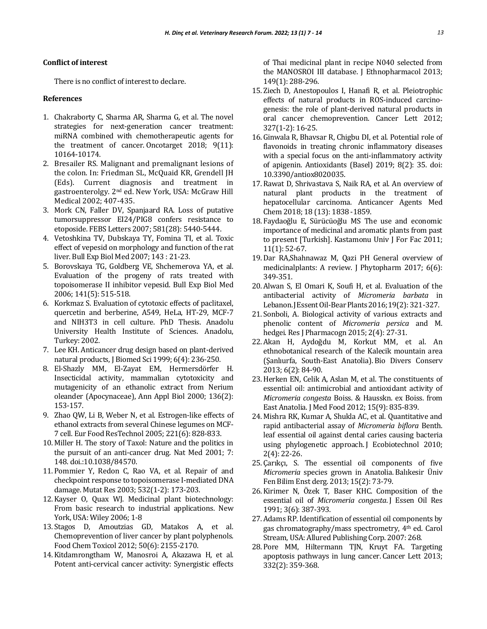### **Conflict of interest**

There is no conflict of interest to declare.

## **References**

- 1. Chakraborty C, Sharma AR, Sharma G, et al. The novel strategies for next-generation cancer treatment: miRNA combined with chemotherapeutic agents for the treatment of cancer. Oncotarget 2018; 9(11): 10164-10174.
- 2. Bresailer RS. Malignant and premalignant lesions of the colon. In: Friedman SL, McQuaid KR, Grendell JH (Eds). Current diagnosis and treatment in gastroenterolgy. 2nd ed. New York, USA: McGraw Hill Medical 2002; 407-435.
- 3. Mork CN, Faller DV, Spanjaard RA. Loss of putative tumorsuppressor EI24/PIG8 confers resistance to etoposide. FEBS Letters 2007; 581(28): 5440-5444.
- 4. Vetoshkina TV, Dubskaya TY, Fomina TI, et al. Toxic effect of vepesid on morphology and function of the rat liver. Bull Exp Biol Med 2007; 143 : 21-23.
- 5. Borovskaya TG, Goldberg VE, Shchemerova YA, et al. Evaluation of the progeny of rats treated with topoisomerase II inhibitor vepesid. Bull Exp Biol Med 2006; 141(5): 515-518.
- 6. Korkmaz S. Evaluation of cytotoxic effects of paclitaxel, quercetin and berberine, A549, HeLa, HT-29, MCF-7 and NIH3T3 in cell culture. PhD Thesis. Anadolu University Health Institute of Sciences. Anadolu, Turkey: 2002.
- 7. Lee KH. Anticancer drug design based on plant-derived natural products, J Biomed Sci 1999; 6(4): 236-250.
- 8. El-Shazly MM, El-Zayat EM, Hermersdörfer H. Insecticidal activity, mammalian cytotoxicity and mutagenicity of an ethanolic extract from Nerium oleander (Apocynaceae), Ann Appl Biol 2000; 136(2): 153-157.
- 9. Zhao QW, Li B, Weber N, et al. Estrogen-like effects of ethanol extracts from several Chinese legumes on MCF-7 cell. Eur Food ResTechnol 2005; 221(6): 828-833.
- 10. Miller H. The story of Taxol: Nature and the politics in the pursuit of an anti-cancer drug. Nat Med 2001; 7: 148. doi.:10.1038/84570.
- 11. Pommier Y, Redon C, Rao VA, et al. Repair of and checkpoint response to topoisomerase I-mediated DNA damage. Mutat Res 2003; 532(1-2): 173-203.
- 12. Kayser O, Quax WJ. Medicinal plant biotechnology: From basic research to industrial applications. New York, USA: Wiley 2006; 1-8
- 13. Stagos D, Amoutzias GD, Matakos A, et al. Chemoprevention of liver cancer by plant polyphenols. Food Chem Toxicol 2012; 50(6): 2155-2170.
- 14. Kitdamrongtham W, Manosroi A, Akazawa H, et al. Potent anti-cervical cancer activity: Synergistic effects

of Thai medicinal plant in recipe N040 selected from the MANOSROI III database. J Ethnopharmacol 2013; 149(1): 288-296.

- 15. Ziech D, Anestopoulos I, Hanafi R, et al. Pleiotrophic effects of natural products in ROS-induced carcinogenesis: the role of plant-derived natural products in oral cancer chemoprevention. Cancer Lett 2012; 327(1-2): 16-25.
- 16. Ginwala R, Bhavsar R, Chigbu DI, et al. Potential role of flavonoids in treating chronic inflammatory diseases with a special focus on the anti-inflammatory activity of apigenin. Antioxidants (Basel) 2019; 8(2): 35. doi: 10.3390/antiox8020035.
- 17. Rawat D, Shrivastava S, Naik RA, et al. An overview of natural plant products in the treatment of hepatocellular carcinoma. Anticancer Agents Med Chem 2018; 18 (13): 1838 -1859.
- 18. Faydaoğlu E, Sürücüoğlu MS The use and economic importance of medicinal and aromatic plants from past to present [Turkish]. Kastamonu Univ J For Fac 2011; 11(1): 52-67.
- 19. Dar RA,Shahnawaz M, Qazi PH General overview of medicinalplants: A review. J Phytopharm 2017; 6(6): 349-351.
- 20. Alwan S, El Omari K, Soufi H, et al. Evaluation of the antibacterial activity of *Micromeria barbata* in Lebanon. J Essent Oil-Bear Plants 2016; 19(2): 321-327.
- 21. Sonboli, A. Biological activity of various extracts and phenolic content of *Micromeria persica* and M. hedgei. Res J Pharmacogn 2015; 2(4): 27-31.
- 22. Akan H, Aydoğdu M, Korkut MM, et al. An ethnobotanical research of the Kalecik mountain area (Şanlıurfa, South-East Anatolia). Bio Divers Conserv 2013; 6(2): 84-90.
- 23.Herken EN, Celik A, Aslan M, et al. The constituents of essential oil: antimicrobial and antioxidant activity of *Micromeria congesta* Boiss. & Hausskn. ex Boiss. from East Anatolia. J Med Food 2012; 15(9): 835-839.
- 24. Mishra RK, Kumar A, Shukla AC, et al. Quantitative and rapid antibacterial assay of *Micromeria biflora* Benth. leaf essential oil against dental caries causing bacteria using phylogenetic approach. J Ecobiotechnol 2010; 2(4): 22-26.
- 25. Çarıkçı, S. The essential oil components of five *Micromeria* species grown in Anatolia. Balıkesir Üniv Fen Bilim Enst derg. 2013; 15(2): 73-79.
- 26. Kirimer N, Özek T, Baser KHC. Composition of the essential oil of *Micromeria congesta*. J Essen Oil Res 1991; 3(6): 387-393.
- 27. Adams RP. Identification of essential oil components by gas chromatography/mass spectrometry, 4th ed. Carol Stream, USA: Allured Publishing Corp. 2007: 268.
- 28. Pore MM, Hiltermann TJN, Kruyt FA. Targeting apoptosis pathways in lung cancer. Cancer Lett 2013; 332(2): 359-368.